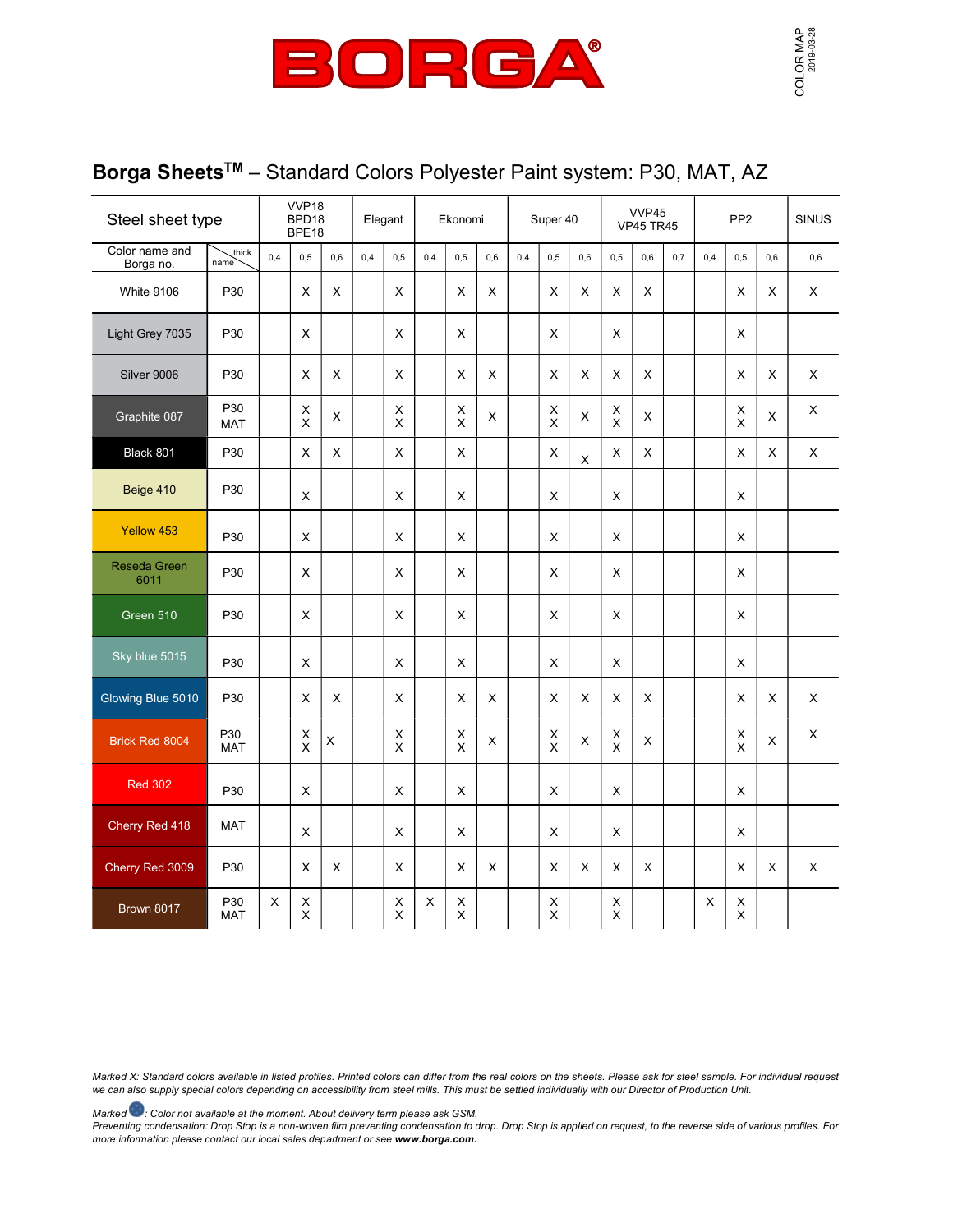

## Borga Sheets<sup>™</sup> - Standard Colors Polyester Paint system: P30, MAT, AZ

| Steel sheet type            |                   | VVP18<br>BPD18<br>BPE18 |                               | Elegant     |     | Ekonomi          |     |                            | Super 40 |     |                | VVP45<br><b>VP45 TR45</b> |                              |     | PP <sub>2</sub> |     |                     | <b>SINUS</b> |     |
|-----------------------------|-------------------|-------------------------|-------------------------------|-------------|-----|------------------|-----|----------------------------|----------|-----|----------------|---------------------------|------------------------------|-----|-----------------|-----|---------------------|--------------|-----|
| Color name and<br>Borga no. | thick.<br>name    | 0,4                     | 0,5                           | 0,6         | 0,4 | 0.5              | 0,4 | 0,5                        | 0,6      | 0,4 | 0,5            | 0,6                       | 0,5                          | 0,6 | 0,7             | 0,4 | 0,5                 | 0,6          | 0,6 |
| White 9106                  | P30               |                         | X                             | X           |     | X                |     | X                          | X        |     | X              | X                         | X                            | X   |                 |     | X                   | X            | X   |
| Light Grey 7035             | P30               |                         | X                             |             |     | X                |     | X                          |          |     | X              |                           | X                            |     |                 |     | X                   |              |     |
| Silver 9006                 | P30               |                         | X                             | X           |     | X                |     | X                          | X        |     | X              | X                         | X                            | X   |                 |     | X                   | X            | X   |
| Graphite 087                | P30<br><b>MAT</b> |                         | $\mathsf X$<br>$\pmb{\times}$ | $\mathsf X$ |     | X<br>X           |     | $\mathsf X$<br>$\mathsf X$ | X        |     | X<br>X         | X                         | X<br>X                       | X   |                 |     | X<br>$\pmb{\times}$ | $\mathsf{X}$ | X   |
| Black 801                   | P30               |                         | X                             | X           |     | X                |     | X                          |          |     | X              | $\mathsf X$               | X                            | X   |                 |     | X                   | X            | X   |
| Beige 410                   | P30               |                         | $\pmb{\times}$                |             |     | X                |     | $\pmb{\times}$             |          |     | $\pmb{\times}$ |                           | X                            |     |                 |     | $\pmb{\times}$      |              |     |
| Yellow 453                  | P30               |                         | X                             |             |     | X                |     | X                          |          |     | X              |                           | X                            |     |                 |     | X                   |              |     |
| Reseda Green<br>6011        | P30               |                         | X                             |             |     | X                |     | X                          |          |     | X              |                           | X                            |     |                 |     | X                   |              |     |
| Green 510                   | P30               |                         | X                             |             |     | X                |     | X                          |          |     | X              |                           | X                            |     |                 |     | X                   |              |     |
| Sky blue 5015               | P30               |                         | $\pmb{\times}$                |             |     | X                |     | X                          |          |     | X              |                           | X                            |     |                 |     | $\pmb{\times}$      |              |     |
| Glowing Blue 5010           | P30               |                         | $\pmb{\times}$                | X           |     | X                |     | X                          | X        |     | $\pmb{\times}$ | X                         | X                            | X   |                 |     | $\pmb{\times}$      | X            | X   |
| Brick Red 8004              | P30<br><b>MAT</b> |                         | х<br>$\overline{\mathsf{x}}$  | $\mathsf X$ |     | Χ<br>X           |     | X<br>$\overline{x}$        | X        |     | X<br>X         | X                         | $_{\rm X}^{\rm X}$           | X   |                 |     | X<br>$\pmb{\times}$ | X            | X   |
| <b>Red 302</b>              | P30               |                         | $\pmb{\times}$                |             |     | X                |     | X                          |          |     | $\pmb{\times}$ |                           | X                            |     |                 |     | $\pmb{\times}$      |              |     |
| Cherry Red 418              | <b>MAT</b>        |                         | X                             |             |     | X                |     | X                          |          |     | X              |                           | X                            |     |                 |     | X                   |              |     |
| Cherry Red 3009             | P30               |                         | X                             | X           |     | X                |     | X                          | X        |     | X              | X                         | X                            | X   |                 |     | X                   | X            | X   |
| Brown 8017                  | P30<br><b>MAT</b> | X                       | $\mathsf X$<br>$\mathsf X$    |             |     | X<br>$\mathsf X$ | X   | X<br>$\overline{X}$        |          |     | X<br>X         |                           | X<br>$\overline{\mathsf{x}}$ |     |                 | X   | X<br>$\mathsf X$    |              |     |

Marked X: Standard colors available in listed profiles. Printed colors can differ from the real colors on the sheets. Please ask for steel sample. For individual request we can also supply special colors depending on accessibility from steel mills. This must be settled individually with our Director of Production Unit.

Marked  $\bullet$ : Color not available at the moment. About delivery term please ask GSM.

Preventing condensation: Drop Stop is a non-woven film preventing condensation to drop. Drop Stop is applied on request, to the reverse side of various profiles. For more information please contact our local sales department or see www.borga.com.